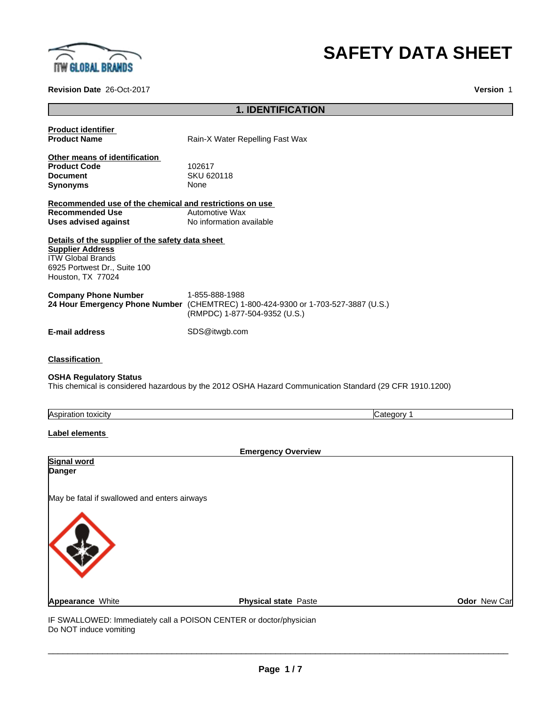

# **SAFETY DATA SHEET**

**Revision Date** 26-Oct-2017 **Version** 1

# **1. IDENTIFICATION**

| <b>Product identifier</b><br><b>Product Name</b>                                                                                                             | Rain-X Water Repelling Fast Wax                                                                                                      |  |
|--------------------------------------------------------------------------------------------------------------------------------------------------------------|--------------------------------------------------------------------------------------------------------------------------------------|--|
| Other means of identification<br><b>Product Code</b><br><b>Document</b><br><b>Synonyms</b>                                                                   | 102617<br>SKU 620118<br>None                                                                                                         |  |
| Recommended use of the chemical and restrictions on use<br><b>Recommended Use</b><br><b>Uses advised against</b>                                             | <b>Automotive Wax</b><br>No information available                                                                                    |  |
| Details of the supplier of the safety data sheet<br><b>Supplier Address</b><br><b>ITW Global Brands</b><br>6925 Portwest Dr., Suite 100<br>Houston, TX 77024 |                                                                                                                                      |  |
| <b>Company Phone Number</b>                                                                                                                                  | 1-855-888-1988<br>24 Hour Emergency Phone Number (CHEMTREC) 1-800-424-9300 or 1-703-527-3887 (U.S.)<br>(RMPDC) 1-877-504-9352 (U.S.) |  |
| <b>E-mail address</b>                                                                                                                                        | SDS@itwgb.com                                                                                                                        |  |
| <b>Classification</b>                                                                                                                                        |                                                                                                                                      |  |
| <b>OSHA Regulatory Status</b>                                                                                                                                | This chemical is considered hazardous by the 2012 OSHA Hazard Communication Standard (29 CFR 1910.1200)                              |  |
| Aspiration toxicity                                                                                                                                          | Category 1                                                                                                                           |  |
| Label elements                                                                                                                                               | <b>Emergency Overview</b>                                                                                                            |  |
| Signal word<br>Danger                                                                                                                                        |                                                                                                                                      |  |
| May be fatal if swallowed and enters airways                                                                                                                 |                                                                                                                                      |  |
|                                                                                                                                                              |                                                                                                                                      |  |

Do NOT induce vomiting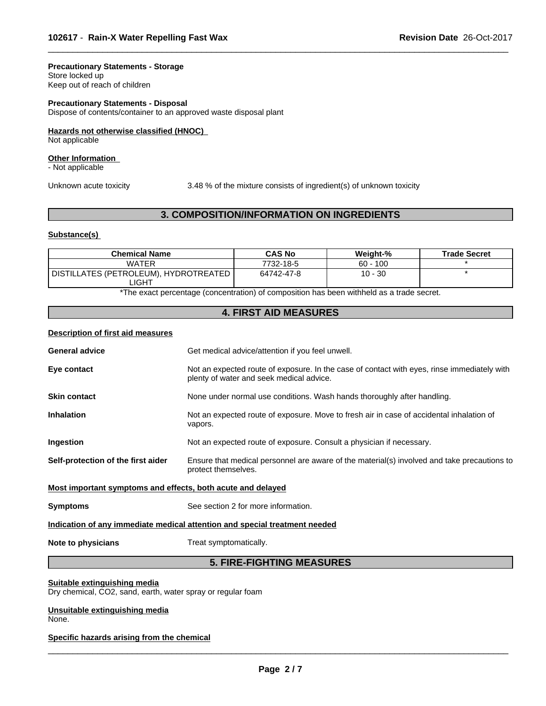#### **Precautionary Statements - Storage**

Store locked up Keep out of reach of children

## **Precautionary Statements - Disposal**

Dispose of contents/container to an approved waste disposal plant

#### **Hazards not otherwise classified (HNOC)**

Not applicable

# **Other Information**

- Not applicable

Unknown acute toxicity 3.48 % of the mixtureconsists of ingredient(s) of unknown toxicity

 $\overline{\phantom{a}}$  ,  $\overline{\phantom{a}}$  ,  $\overline{\phantom{a}}$  ,  $\overline{\phantom{a}}$  ,  $\overline{\phantom{a}}$  ,  $\overline{\phantom{a}}$  ,  $\overline{\phantom{a}}$  ,  $\overline{\phantom{a}}$  ,  $\overline{\phantom{a}}$  ,  $\overline{\phantom{a}}$  ,  $\overline{\phantom{a}}$  ,  $\overline{\phantom{a}}$  ,  $\overline{\phantom{a}}$  ,  $\overline{\phantom{a}}$  ,  $\overline{\phantom{a}}$  ,  $\overline{\phantom{a}}$ 

# **3. COMPOSITION/INFORMATION ON INGREDIENTS**

#### **Substance(s)**

| <b>Chemical Name</b>                             | <b>CAS No</b> | Weight-%   | <b>Trade Secret</b> |
|--------------------------------------------------|---------------|------------|---------------------|
| <b>WATER</b>                                     | 7732-18-5     | $60 - 100$ |                     |
| DISTILLATES (PETROLEUM), HYDROTREATED  <br>_IGHT | 64742-47-8    | $10 - 30$  |                     |

\*The exact percentage (concentration) of composition has been withheld as a trade secret.

# **4. FIRST AID MEASURES**

#### **Description of first aid measures**

| <b>General advice</b>                                                      | Get medical advice/attention if you feel unwell.                                                                                        |  |  |
|----------------------------------------------------------------------------|-----------------------------------------------------------------------------------------------------------------------------------------|--|--|
| Eye contact                                                                | Not an expected route of exposure. In the case of contact with eyes, rinse immediately with<br>plenty of water and seek medical advice. |  |  |
| <b>Skin contact</b>                                                        | None under normal use conditions. Wash hands thoroughly after handling.                                                                 |  |  |
| <b>Inhalation</b>                                                          | Not an expected route of exposure. Move to fresh air in case of accidental inhalation of<br>vapors.                                     |  |  |
| Ingestion                                                                  | Not an expected route of exposure. Consult a physician if necessary.                                                                    |  |  |
| Self-protection of the first aider                                         | Ensure that medical personnel are aware of the material(s) involved and take precautions to<br>protect themselves.                      |  |  |
| Most important symptoms and effects, both acute and delayed                |                                                                                                                                         |  |  |
| <b>Symptoms</b>                                                            | See section 2 for more information.                                                                                                     |  |  |
| Indication of any immediate medical attention and special treatment needed |                                                                                                                                         |  |  |
| Note to physicians                                                         | Treat symptomatically.                                                                                                                  |  |  |
|                                                                            |                                                                                                                                         |  |  |

# **5. FIRE-FIGHTING MEASURES**

# **Suitable extinguishing media**

Dry chemical, CO2, sand, earth, water spray or regular foam

**Unsuitable extinguishing media** None.

# **Specific hazards arising from the chemical**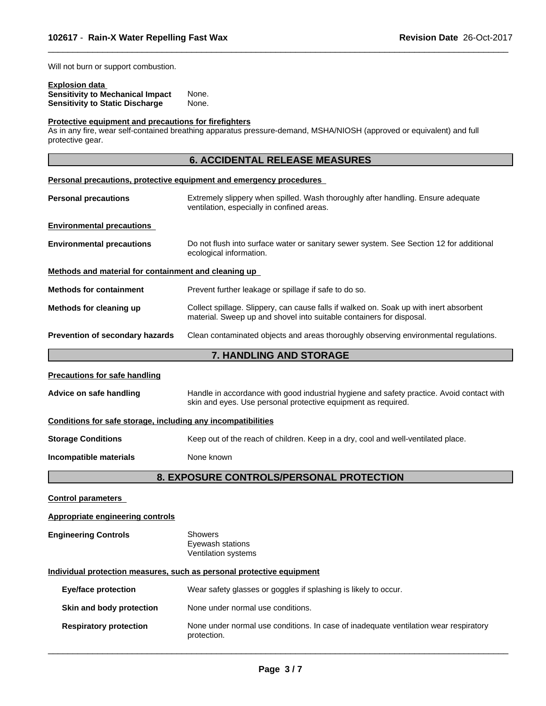Will not burn or support combustion.

# **Explosion data**

| <b>Sensitivity to Mechanical Impact</b> | None. |
|-----------------------------------------|-------|
| <b>Sensitivity to Static Discharge</b>  | None. |

# **Protective equipment and precautions for firefighters**

As in any fire, wear self-contained breathing apparatus pressure-demand, MSHA/NIOSH (approved or equivalent) and full protective gear.

# **6. ACCIDENTAL RELEASE MEASURES**

 $\overline{\phantom{a}}$  ,  $\overline{\phantom{a}}$  ,  $\overline{\phantom{a}}$  ,  $\overline{\phantom{a}}$  ,  $\overline{\phantom{a}}$  ,  $\overline{\phantom{a}}$  ,  $\overline{\phantom{a}}$  ,  $\overline{\phantom{a}}$  ,  $\overline{\phantom{a}}$  ,  $\overline{\phantom{a}}$  ,  $\overline{\phantom{a}}$  ,  $\overline{\phantom{a}}$  ,  $\overline{\phantom{a}}$  ,  $\overline{\phantom{a}}$  ,  $\overline{\phantom{a}}$  ,  $\overline{\phantom{a}}$ 

|                                                              | Personal precautions, protective equipment and emergency procedures                                                                                            |  |  |  |
|--------------------------------------------------------------|----------------------------------------------------------------------------------------------------------------------------------------------------------------|--|--|--|
| <b>Personal precautions</b>                                  | Extremely slippery when spilled. Wash thoroughly after handling. Ensure adequate<br>ventilation, especially in confined areas.                                 |  |  |  |
| <b>Environmental precautions</b>                             |                                                                                                                                                                |  |  |  |
| <b>Environmental precautions</b>                             | Do not flush into surface water or sanitary sewer system. See Section 12 for additional<br>ecological information.                                             |  |  |  |
| Methods and material for containment and cleaning up         |                                                                                                                                                                |  |  |  |
| <b>Methods for containment</b>                               | Prevent further leakage or spillage if safe to do so.                                                                                                          |  |  |  |
| Methods for cleaning up                                      | Collect spillage. Slippery, can cause falls if walked on. Soak up with inert absorbent<br>material. Sweep up and shovel into suitable containers for disposal. |  |  |  |
| Prevention of secondary hazards                              | Clean contaminated objects and areas thoroughly observing environmental regulations.                                                                           |  |  |  |
|                                                              | 7. HANDLING AND STORAGE                                                                                                                                        |  |  |  |
| <b>Precautions for safe handling</b>                         |                                                                                                                                                                |  |  |  |
| Advice on safe handling                                      | Handle in accordance with good industrial hygiene and safety practice. Avoid contact with<br>skin and eyes. Use personal protective equipment as required.     |  |  |  |
| Conditions for safe storage, including any incompatibilities |                                                                                                                                                                |  |  |  |
| <b>Storage Conditions</b>                                    | Keep out of the reach of children. Keep in a dry, cool and well-ventilated place.                                                                              |  |  |  |
| Incompatible materials                                       | None known                                                                                                                                                     |  |  |  |
|                                                              | 8. EXPOSURE CONTROLS/PERSONAL PROTECTION                                                                                                                       |  |  |  |
| <b>Control parameters</b>                                    |                                                                                                                                                                |  |  |  |
| <b>Appropriate engineering controls</b>                      |                                                                                                                                                                |  |  |  |
| <b>Engineering Controls</b>                                  | <b>Showers</b><br>Eyewash stations<br>Ventilation systems                                                                                                      |  |  |  |
|                                                              | Individual protection measures, such as personal protective equipment                                                                                          |  |  |  |
| <b>Eye/face protection</b>                                   | Wear safety glasses or goggles if splashing is likely to occur.                                                                                                |  |  |  |
| Skin and body protection                                     | None under normal use conditions.                                                                                                                              |  |  |  |
| <b>Respiratory protection</b>                                | None under normal use conditions. In case of inadequate ventilation wear respiratory<br>protection.                                                            |  |  |  |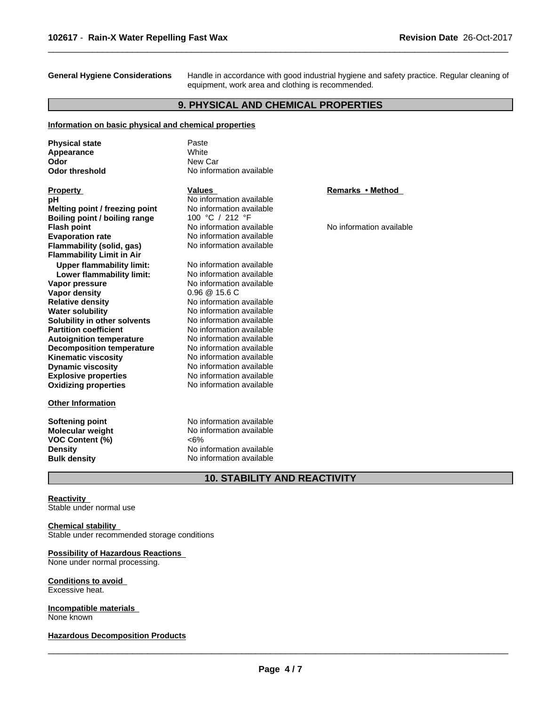**General Hygiene Considerations** Handle in accordance with good industrial hygiene and safety practice. Regular cleaning of equipment, work area and clothing is recommended.

 $\overline{\phantom{a}}$  ,  $\overline{\phantom{a}}$  ,  $\overline{\phantom{a}}$  ,  $\overline{\phantom{a}}$  ,  $\overline{\phantom{a}}$  ,  $\overline{\phantom{a}}$  ,  $\overline{\phantom{a}}$  ,  $\overline{\phantom{a}}$  ,  $\overline{\phantom{a}}$  ,  $\overline{\phantom{a}}$  ,  $\overline{\phantom{a}}$  ,  $\overline{\phantom{a}}$  ,  $\overline{\phantom{a}}$  ,  $\overline{\phantom{a}}$  ,  $\overline{\phantom{a}}$  ,  $\overline{\phantom{a}}$ 

# **9. PHYSICAL AND CHEMICAL PROPERTIES**

#### **Information on basic physical and chemical properties**

| <b>Physical state</b>            | Paste                    |                          |
|----------------------------------|--------------------------|--------------------------|
| Appearance                       | <b>White</b>             |                          |
| Odor                             | New Car                  |                          |
| <b>Odor threshold</b>            | No information available |                          |
|                                  |                          |                          |
| <b>Property</b>                  | <b>Values</b>            | Remarks • Method         |
| рH                               | No information available |                          |
| Melting point / freezing point   | No information available |                          |
| Boiling point / boiling range    | 100 °C / 212 °F          |                          |
| <b>Flash point</b>               | No information available | No information available |
| <b>Evaporation rate</b>          | No information available |                          |
| Flammability (solid, gas)        | No information available |                          |
| <b>Flammability Limit in Air</b> |                          |                          |
| <b>Upper flammability limit:</b> | No information available |                          |
| Lower flammability limit:        | No information available |                          |
| Vapor pressure                   | No information available |                          |
| <b>Vapor density</b>             | $0.96 \ @ 15.6 C$        |                          |
| <b>Relative density</b>          | No information available |                          |
| <b>Water solubility</b>          | No information available |                          |
| Solubility in other solvents     | No information available |                          |
| <b>Partition coefficient</b>     | No information available |                          |
| <b>Autoignition temperature</b>  | No information available |                          |
| <b>Decomposition temperature</b> | No information available |                          |
| <b>Kinematic viscosity</b>       | No information available |                          |
| <b>Dynamic viscosity</b>         | No information available |                          |
| <b>Explosive properties</b>      | No information available |                          |
| <b>Oxidizing properties</b>      | No information available |                          |
| <b>Other Information</b>         |                          |                          |
|                                  |                          |                          |
| <b>Softening point</b>           | No information available |                          |
| <b>Molecular weight</b>          | No information available |                          |
| VOC Content (%)                  | $<6\%$                   |                          |
| <b>Density</b>                   | No information available |                          |
| <b>Bulk density</b>              | No information available |                          |

# **10. STABILITY AND REACTIVITY**

## **Reactivity**

Stable under normal use

#### **Chemical stability** Stable under recommended storage conditions

#### **Possibility of Hazardous Reactions** None under normal processing.

**Conditions to avoid** Excessive heat.

**Incompatible materials** None known

**Hazardous Decomposition Products**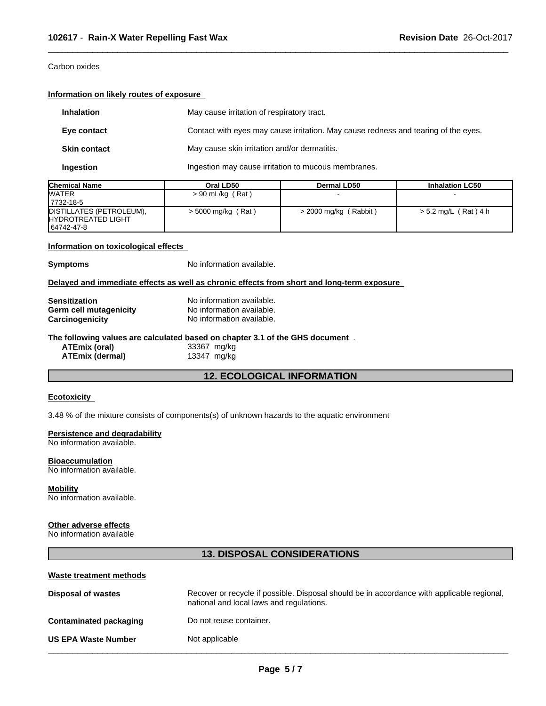# Carbon oxides

## **Information on likely routes of exposure**

| <b>Inhalation</b>   | May cause irritation of respiratory tract.                                         |
|---------------------|------------------------------------------------------------------------------------|
| Eye contact         | Contact with eyes may cause irritation. May cause redness and tearing of the eyes. |
| <b>Skin contact</b> | May cause skin irritation and/or dermatitis.                                       |
| Ingestion           | Ingestion may cause irritation to mucous membranes.                                |

 $\overline{\phantom{a}}$  ,  $\overline{\phantom{a}}$  ,  $\overline{\phantom{a}}$  ,  $\overline{\phantom{a}}$  ,  $\overline{\phantom{a}}$  ,  $\overline{\phantom{a}}$  ,  $\overline{\phantom{a}}$  ,  $\overline{\phantom{a}}$  ,  $\overline{\phantom{a}}$  ,  $\overline{\phantom{a}}$  ,  $\overline{\phantom{a}}$  ,  $\overline{\phantom{a}}$  ,  $\overline{\phantom{a}}$  ,  $\overline{\phantom{a}}$  ,  $\overline{\phantom{a}}$  ,  $\overline{\phantom{a}}$ 

| <b>Chemical Name</b>       | Oral LD50          | <b>Dermal LD50</b>      | <b>Inhalation LC50</b> |
|----------------------------|--------------------|-------------------------|------------------------|
| <b>WATER</b>               | $> 90$ mL/kg (Rat) |                         |                        |
| 17732-18-5                 |                    |                         |                        |
| DISTILLATES (PETROLEUM),   | > 5000 mg/kg (Rat) | $>$ 2000 mg/kg (Rabbit) | $> 5.2$ mg/L (Rat) 4 h |
| <b>IHYDROTREATED LIGHT</b> |                    |                         |                        |
| 64742-47-8                 |                    |                         |                        |

# **Information on toxicological effects**

**Symptoms** No information available.

#### **Delayed and immediate effects as well as chronic effects from short and long-term exposure**

| <b>Sensitization</b>   | No information available.                                                     |  |  |  |  |
|------------------------|-------------------------------------------------------------------------------|--|--|--|--|
| Germ cell mutagenicity | No information available.                                                     |  |  |  |  |
| Carcinogenicity        | No information available.                                                     |  |  |  |  |
|                        |                                                                               |  |  |  |  |
|                        | The following values are calculated based on chapter 3.1 of the GHS document. |  |  |  |  |
| ATEmix (oral)          | 33367 mg/kg                                                                   |  |  |  |  |

# **12. ECOLOGICAL INFORMATION**

#### **Ecotoxicity**

3.48 % of the mixture consists of components(s) of unknown hazards to the aquatic environment

#### **Persistence and degradability**

No information available.

**Bioaccumulation** No information available.

**Mobility** No information available.

# **Other adverse effects**

No information available

# **13. DISPOSAL CONSIDERATIONS**

#### **Waste treatment methods**

| <b>Disposal of wastes</b>     | Recover or recycle if possible. Disposal should be in accordance with applicable regional,<br>national and local laws and regulations. |
|-------------------------------|----------------------------------------------------------------------------------------------------------------------------------------|
| <b>Contaminated packaging</b> | Do not reuse container.                                                                                                                |
| <b>US EPA Waste Number</b>    | Not applicable                                                                                                                         |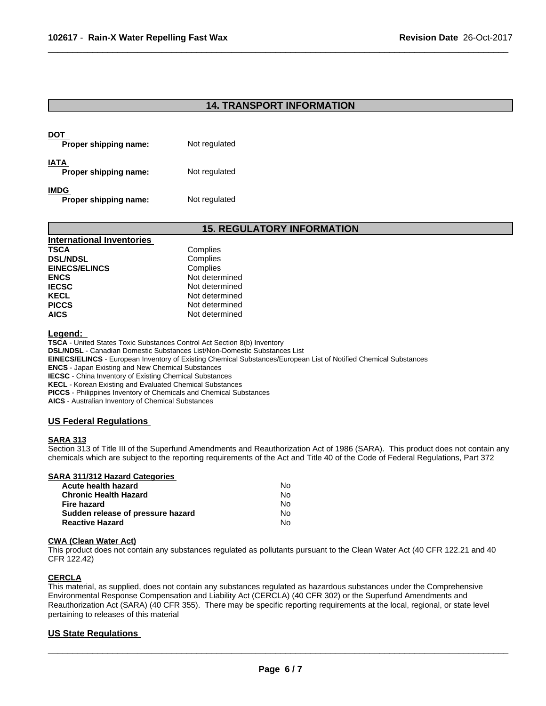# **14. TRANSPORT INFORMATION**

 $\overline{\phantom{a}}$  ,  $\overline{\phantom{a}}$  ,  $\overline{\phantom{a}}$  ,  $\overline{\phantom{a}}$  ,  $\overline{\phantom{a}}$  ,  $\overline{\phantom{a}}$  ,  $\overline{\phantom{a}}$  ,  $\overline{\phantom{a}}$  ,  $\overline{\phantom{a}}$  ,  $\overline{\phantom{a}}$  ,  $\overline{\phantom{a}}$  ,  $\overline{\phantom{a}}$  ,  $\overline{\phantom{a}}$  ,  $\overline{\phantom{a}}$  ,  $\overline{\phantom{a}}$  ,  $\overline{\phantom{a}}$ 

| DOT<br>Proper shipping name:  | Not regulated |  |
|-------------------------------|---------------|--|
| IATA<br>Proper shipping name: | Not regulated |  |
| IMDG<br>Proper shipping name: | Not regulated |  |

# **15. REGULATORY INFORMATION**

| <b>International Inventories</b> |                |  |
|----------------------------------|----------------|--|
| <b>TSCA</b>                      | Complies       |  |
| <b>DSL/NDSL</b>                  | Complies       |  |
| <b>EINECS/ELINCS</b>             | Complies       |  |
| <b>ENCS</b>                      | Not determined |  |
| <b>IECSC</b>                     | Not determined |  |
| <b>KECL</b>                      | Not determined |  |
| <b>PICCS</b>                     | Not determined |  |
| <b>AICS</b>                      | Not determined |  |

**Legend:** 

**TSCA** - United States Toxic Substances Control Act Section 8(b) Inventory **DSL/NDSL** - Canadian Domestic Substances List/Non-Domestic Substances List **EINECS/ELINCS** - European Inventory of Existing Chemical Substances/European List of Notified Chemical Substances **ENCS** - Japan Existing and New Chemical Substances

**IECSC** - China Inventory of Existing Chemical Substances

**KECL** - Korean Existing and Evaluated Chemical Substances

**PICCS** - Philippines Inventory of Chemicals and Chemical Substances

**AICS** - Australian Inventory of Chemical Substances

# **US Federal Regulations**

## **SARA 313**

Section 313 of Title III of the Superfund Amendments and Reauthorization Act of 1986 (SARA). This product does not contain any chemicals which are subject to the reporting requirements of the Act and Title 40 of the Code of Federal Regulations, Part 372

#### **SARA 311/312 Hazard Categories**

| Acute health hazard               | No. |  |
|-----------------------------------|-----|--|
| Chronic Health Hazard             | No. |  |
| Fire hazard                       | N٥  |  |
| Sudden release of pressure hazard | No. |  |
| Reactive Hazard                   | N٥  |  |

#### **CWA (Clean WaterAct)**

This product does not contain any substances regulated as pollutants pursuant to the Clean Water Act (40 CFR 122.21 and 40 CFR 122.42)

# **CERCLA**

This material, as supplied, does not contain any substances regulated as hazardous substances under the Comprehensive Environmental Response Compensation and Liability Act (CERCLA) (40 CFR 302) or the Superfund Amendments and Reauthorization Act (SARA) (40 CFR 355). There may be specific reporting requirements at the local, regional, or state level pertaining to releases of this material

## **US State Regulations**